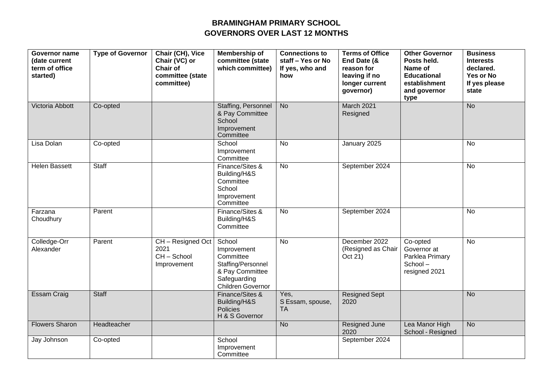## **BRAMINGHAM PRIMARY SCHOOL GOVERNORS OVER LAST 12 MONTHS**

| Governor name<br>(date current<br>term of office<br>started) | <b>Type of Governor</b> | Chair (CH), Vice<br>Chair (VC) or<br><b>Chair of</b><br>committee (state<br>committee) | Membership of<br>committee (state<br>which committee)                                                            | <b>Connections to</b><br>staff - Yes or No<br>If yes, who and<br>how | <b>Terms of Office</b><br>End Date (&<br>reason for<br>leaving if no<br>longer current<br>governor) | Other Governor<br>Posts held.<br>Name of<br><b>Educational</b><br>establishment<br>and governor<br>type | <b>Business</b><br><b>Interests</b><br>declared.<br>Yes or No<br>If yes please<br>state |
|--------------------------------------------------------------|-------------------------|----------------------------------------------------------------------------------------|------------------------------------------------------------------------------------------------------------------|----------------------------------------------------------------------|-----------------------------------------------------------------------------------------------------|---------------------------------------------------------------------------------------------------------|-----------------------------------------------------------------------------------------|
| Victoria Abbott                                              | Co-opted                |                                                                                        | <b>Staffing, Personnel</b><br>& Pay Committee<br>School<br>Improvement<br>Committee                              | <b>No</b>                                                            | <b>March 2021</b><br>Resigned                                                                       |                                                                                                         | <b>No</b>                                                                               |
| Lisa Dolan                                                   | Co-opted                |                                                                                        | School<br>Improvement<br>Committee                                                                               | <b>No</b>                                                            | January 2025                                                                                        |                                                                                                         | <b>No</b>                                                                               |
| <b>Helen Bassett</b>                                         | Staff                   |                                                                                        | Finance/Sites &<br>Building/H&S<br>Committee<br>School<br>Improvement<br>Committee                               | No                                                                   | September 2024                                                                                      |                                                                                                         | No                                                                                      |
| Farzana<br>Choudhury                                         | Parent                  |                                                                                        | Finance/Sites &<br>Building/H&S<br>Committee                                                                     | <b>No</b>                                                            | September 2024                                                                                      |                                                                                                         | <b>No</b>                                                                               |
| Colledge-Orr<br>Alexander                                    | Parent                  | CH - Resigned Oct<br>2021<br>CH-School<br>Improvement                                  | School<br>Improvement<br>Committee<br>Staffing/Personnel<br>& Pay Committee<br>Safeguarding<br>Children Governor | <b>No</b>                                                            | December 2022<br>(Resigned as Chair<br>Oct 21)                                                      | Co-opted<br>Governor at<br>Parklea Primary<br>School-<br>resigned 2021                                  | No                                                                                      |
| <b>Essam Craig</b>                                           | <b>Staff</b>            |                                                                                        | Finance/Sites &<br>Building/H&S<br>Policies<br>H & S Governor                                                    | Yes,<br>S Essam, spouse,<br><b>TA</b>                                | <b>Resigned Sept</b><br>2020                                                                        |                                                                                                         | <b>No</b>                                                                               |
| <b>Flowers Sharon</b>                                        | Headteacher             |                                                                                        |                                                                                                                  | <b>No</b>                                                            | Resigned June<br>2020                                                                               | Lea Manor High<br>School - Resigned                                                                     | <b>No</b>                                                                               |
| Jay Johnson                                                  | Co-opted                |                                                                                        | School<br>Improvement<br>Committee                                                                               |                                                                      | September 2024                                                                                      |                                                                                                         |                                                                                         |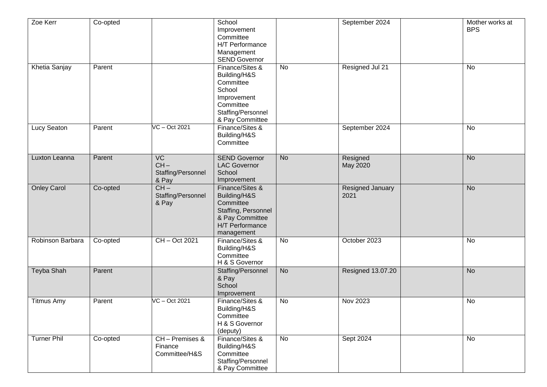| Zoe Kerr           | Co-opted |                                                          | School<br>Improvement<br>Committee<br>H/T Performance<br>Management<br><b>SEND Governor</b>                                    |                | September 2024           | <b>BPS</b>     | Mother works at |
|--------------------|----------|----------------------------------------------------------|--------------------------------------------------------------------------------------------------------------------------------|----------------|--------------------------|----------------|-----------------|
| Khetia Sanjay      | Parent   |                                                          | Finance/Sites &<br>Building/H&S<br>Committee<br>School<br>Improvement<br>Committee<br>Staffing/Personnel<br>& Pay Committee    | <b>No</b>      | Resigned Jul 21          | <b>No</b>      |                 |
| Lucy Seaton        | Parent   | VC - Oct 2021                                            | Finance/Sites &<br>Building/H&S<br>Committee                                                                                   |                | September 2024           | No             |                 |
| Luxton Leanna      | Parent   | $\overline{VC}$<br>$CH -$<br>Staffing/Personnel<br>& Pay | <b>SEND Governor</b><br><b>LAC Governor</b><br>School<br>Improvement                                                           | <b>No</b>      | Resigned<br>May 2020     | <b>No</b>      |                 |
| <b>Onley Carol</b> | Co-opted | $CH -$<br>Staffing/Personnel<br>& Pay                    | Finance/Sites &<br>Building/H&S<br>Committee<br>Staffing, Personnel<br>& Pay Committee<br><b>H/T Performance</b><br>management |                | Resigned January<br>2021 | <b>No</b>      |                 |
| Robinson Barbara   | Co-opted | CH-Oct 2021                                              | Finance/Sites &<br>Building/H&S<br>Committee<br>H & S Governor                                                                 | No             | October 2023             | No             |                 |
| <b>Teyba Shah</b>  | Parent   |                                                          | Staffing/Personnel<br>& Pay<br>School<br>Improvement                                                                           | <b>No</b>      | Resigned 13.07.20        | <b>No</b>      |                 |
| <b>Titmus Amy</b>  | Parent   | VC - Oct 2021                                            | Finance/Sites &<br>Building/H&S<br>Committee<br>H & S Governor<br>(deputy)                                                     | $\overline{N}$ | Nov 2023                 | $\overline{N}$ |                 |
| <b>Turner Phil</b> | Co-opted | CH-Premises &<br>Finance<br>Committee/H&S                | Finance/Sites &<br>Building/H&S<br>Committee<br>Staffing/Personnel<br>& Pay Committee                                          | No             | Sept 2024                | $\overline{N}$ |                 |